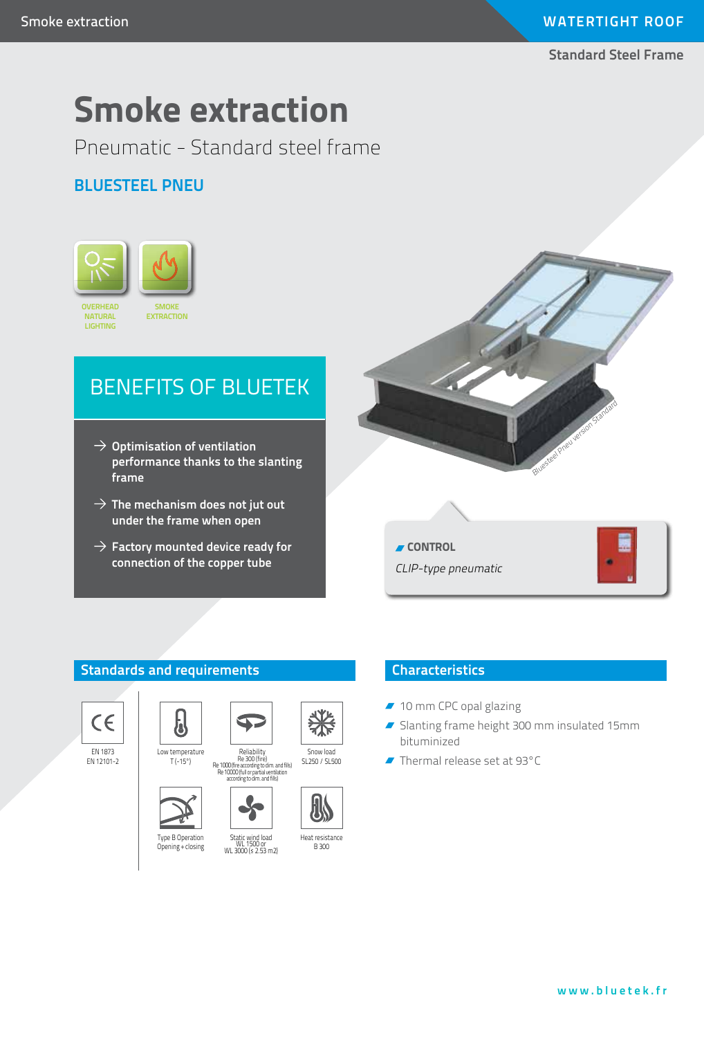# **WATERTIGHT ROOF**

**Standard Steel Frame**

# **Smoke extraction**

Pneumatic - Standard steel frame

# **Bluesteel PNEU**



# BENEFITS OF BLUETEK

- $\rightarrow$  Optimisation of ventilation **performance thanks to the slanting frame**
- $\rightarrow$  The mechanism does not jut out **under the frame when open**
- $\rightarrow$  Factory mounted device ready for **connection of the copper tube**



CLIP-type pneumatic





EN 1873 EN 12101-2





Type B Operation Opening + closing



### **Characteristics**

- 10 mm CPC opal glazing
- Slanting frame height 300 mm insulated 15mm bituminized
- Thermal release set at 93°C





#### Heat resistance B 300

Snow load SL250 / SL500

#### **www.bluetek.fr**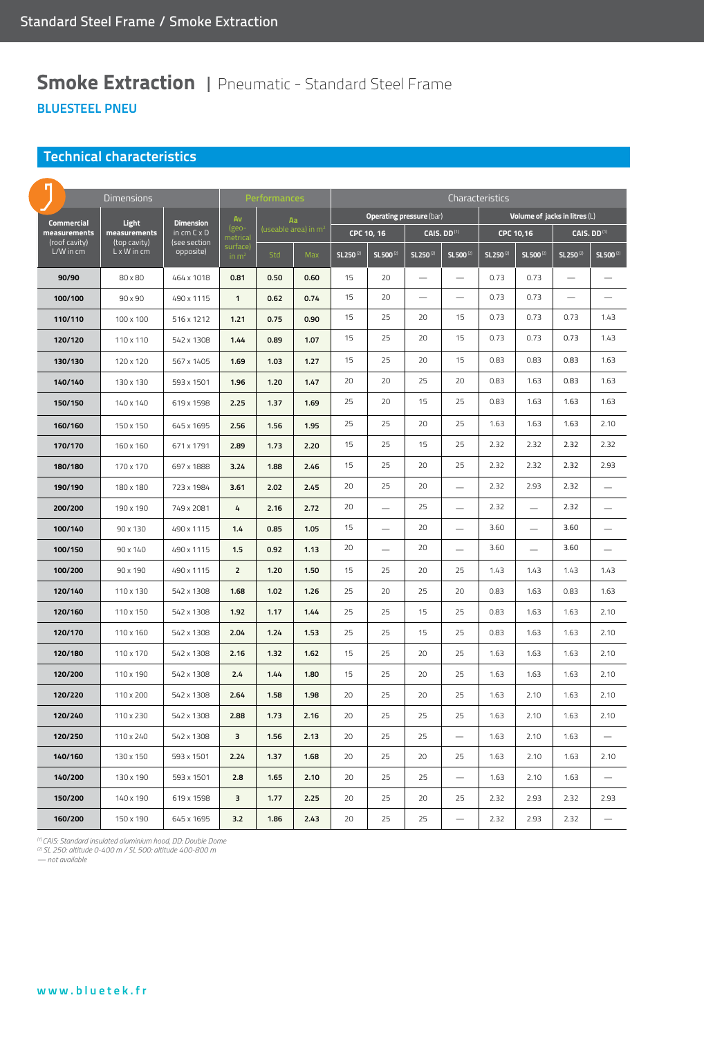# **Smoke Extraction | Pneumatic - Standard Steel Frame BluesteEL PNEU**

#### **Technical characteristics**

|                                            | <b>Dimensions</b>                                    |                                                                     |                                          | Performances                           |      |                                 | Characteristics       |                         |                          |                               |                       |                          |                       |  |
|--------------------------------------------|------------------------------------------------------|---------------------------------------------------------------------|------------------------------------------|----------------------------------------|------|---------------------------------|-----------------------|-------------------------|--------------------------|-------------------------------|-----------------------|--------------------------|-----------------------|--|
| Commercial                                 | Light<br>measurements<br>(top cavity)<br>L x W in cm | <b>Dimension</b><br>in $cm C \times D$<br>(see section<br>opposite) | Av                                       | Aa<br>(useable area) in m <sup>2</sup> |      | <b>Operating pressure (bar)</b> |                       |                         |                          | Volume of jacks in litres (L) |                       |                          |                       |  |
| measurements<br>(roof cavity)<br>L/W in cm |                                                      |                                                                     | (geo-<br>metrical<br>surface)<br>in $m2$ |                                        |      | CPC 10, 16                      |                       | CAIS. DD <sup>(1)</sup> |                          | CPC 10,16                     |                       | CAIS. DD <sup>(1)</sup>  |                       |  |
|                                            |                                                      |                                                                     |                                          | Std                                    | Max  | SL 250 <sup>(2)</sup>           | SL 500 <sup>(2)</sup> | SL 250 <sup>(2)</sup>   | SL 500 <sup>(2)</sup>    | SL 250 <sup>(2)</sup>         | SL 500 <sup>(2)</sup> | SL 250 <sup>(2)</sup>    | SL 500 <sup>(2)</sup> |  |
| 90/90                                      | 80 x 80                                              | 464 x 1018                                                          | 0.81                                     | 0.50                                   | 0.60 | 15                              | 20                    | $\sim$                  | $\overline{\phantom{0}}$ | 0.73                          | 0.73                  | $\overline{\phantom{0}}$ |                       |  |
| 100/100                                    | 90 x 90                                              | 490 x 1115                                                          | $\mathbf{1}$                             | 0.62                                   | 0.74 | 15                              | 20                    |                         |                          | 0.73                          | 0.73                  |                          |                       |  |
| 110/110                                    | 100 x 100                                            | 516 x 1212                                                          | 1.21                                     | 0.75                                   | 0.90 | 15                              | 25                    | 20                      | 15                       | 0.73                          | 0.73                  | 0.73                     | 1.43                  |  |
| 120/120                                    | 110 x 110                                            | 542 x 1308                                                          | 1.44                                     | 0.89                                   | 1.07 | 15                              | 25                    | 20                      | 15                       | 0.73                          | 0.73                  | 0.73                     | 1.43                  |  |
| 130/130                                    | 120 x 120                                            | 567 x 1405                                                          | 1.69                                     | 1.03                                   | 1.27 | 15                              | 25                    | 20                      | 15                       | 0.83                          | 0.83                  | 0.83                     | 1.63                  |  |
| 140/140                                    | 130 x 130                                            | 593 x 1501                                                          | 1.96                                     | 1.20                                   | 1.47 | 20                              | 20                    | 25                      | 20                       | 0.83                          | 1.63                  | 0.83                     | 1.63                  |  |
| 150/150                                    | 140 x 140                                            | 619 x 1598                                                          | 2.25                                     | 1.37                                   | 1.69 | 25                              | 20                    | 15                      | 25                       | 0.83                          | 1.63                  | 1.63                     | 1.63                  |  |
| 160/160                                    | 150 x 150                                            | 645 x 1695                                                          | 2.56                                     | 1.56                                   | 1.95 | 25                              | 25                    | 20                      | 25                       | 1.63                          | 1.63                  | 1.63                     | 2.10                  |  |
| 170/170                                    | 160 x 160                                            | 671 x 1791                                                          | 2.89                                     | 1.73                                   | 2.20 | 15                              | 25                    | 15                      | 25                       | 2.32                          | 2.32                  | 2.32                     | 2.32                  |  |
| 180/180                                    | 170 x 170                                            | 697 x 1888                                                          | 3.24                                     | 1.88                                   | 2.46 | 15                              | 25                    | 20                      | 25                       | 2.32                          | 2.32                  | 2.32                     | 2.93                  |  |
| 190/190                                    | 180 x 180                                            | 723 x 1984                                                          | 3.61                                     | 2.02                                   | 2.45 | 20                              | 25                    | 20                      |                          | 2.32                          | 2.93                  | 2.32                     |                       |  |
| 200/200                                    | 190 x 190                                            | 749 x 2081                                                          | 4                                        | 2.16                                   | 2.72 | 20                              |                       | 25                      |                          | 2.32                          |                       | 2.32                     |                       |  |
| 100/140                                    | 90 x 130                                             | 490 x 1115                                                          | 1.4                                      | 0.85                                   | 1.05 | 15                              |                       | 20                      |                          | 3.60                          |                       | 3.60                     |                       |  |
| 100/150                                    | 90 x 140                                             | 490 x 1115                                                          | 1.5                                      | 0.92                                   | 1.13 | 20                              |                       | 20                      |                          | 3.60                          |                       | 3.60                     |                       |  |
| 100/200                                    | 90 x 190                                             | 490 x 1115                                                          | $\overline{2}$                           | 1.20                                   | 1.50 | 15                              | 25                    | 20                      | 25                       | 1.43                          | 1.43                  | 1.43                     | 1.43                  |  |
| 120/140                                    | 110 x 130                                            | 542 x 1308                                                          | 1.68                                     | 1.02                                   | 1.26 | 25                              | 20                    | 25                      | 20                       | 0.83                          | 1.63                  | 0.83                     | 1.63                  |  |
| 120/160                                    | 110 x 150                                            | 542 x 1308                                                          | 1.92                                     | 1.17                                   | 1.44 | 25                              | 25                    | 15                      | 25                       | 0.83                          | 1.63                  | 1.63                     | 2.10                  |  |
| 120/170                                    | 110 x 160                                            | 542 x 1308                                                          | 2.04                                     | 1.24                                   | 1.53 | 25                              | 25                    | 15                      | 25                       | 0.83                          | 1.63                  | 1.63                     | 2.10                  |  |
| 120/180                                    | 110 x 170                                            | 542 x 1308                                                          | 2.16                                     | 1.32                                   | 1.62 | 15                              | 25                    | 20                      | 25                       | 1.63                          | 1.63                  | 1.63                     | 2.10                  |  |
| 120/200                                    | 110 x 190                                            | 542 x 1308                                                          | 2.4                                      | 1.44                                   | 1.80 | 15                              | 25                    | 20                      | 25                       | 1.63                          | 1.63                  | 1.63                     | 2.10                  |  |
| 120/220                                    | 110 x 200                                            | 542 x 1308                                                          | 2.64                                     | 1.58                                   | 1.98 | 20                              | 25                    | 20                      | 25                       | 1.63                          | 2.10                  | 1.63                     | 2.10                  |  |
| 120/240                                    | 110 x 230                                            | 542 x 1308                                                          | 2.88                                     | 1.73                                   | 2.16 | 20                              | 25                    | 25                      | 25                       | 1.63                          | 2.10                  | 1.63                     | 2.10                  |  |
| 120/250                                    | 110 x 240                                            | 542 x 1308                                                          | $\overline{\mathbf{3}}$                  | 1.56                                   | 2.13 | 20                              | 25                    | 25                      |                          | 1.63                          | 2.10                  | 1.63                     |                       |  |
| 140/160                                    | 130 x 150                                            | 593 x 1501                                                          | 2.24                                     | 1.37                                   | 1.68 | 20                              | 25                    | 20                      | 25                       | 1.63                          | 2.10                  | 1.63                     | 2.10                  |  |
| 140/200                                    | 130 x 190                                            | 593 x 1501                                                          | 2.8                                      | 1.65                                   | 2.10 | 20                              | 25                    | 25                      |                          | 1.63                          | 2.10                  | 1.63                     |                       |  |
| 150/200                                    | 140 x 190                                            | 619 x 1598                                                          | 3                                        | 1.77                                   | 2.25 | 20                              | 25                    | 20                      | 25                       | 2.32                          | 2.93                  | 2.32                     | 2.93                  |  |
| 160/200                                    | 150 x 190                                            | 645 x 1695                                                          | 3.2                                      | 1.86                                   | 2.43 | 20                              | 25                    | 25                      |                          | 2.32                          | 2.93                  | 2.32                     |                       |  |

*(1) CAIS: Standard insulated aluminium hood, DD: Double Dome (2) SL 250: altitude 0-400 m / SL 500: altitude 400-800 m*

*— not available*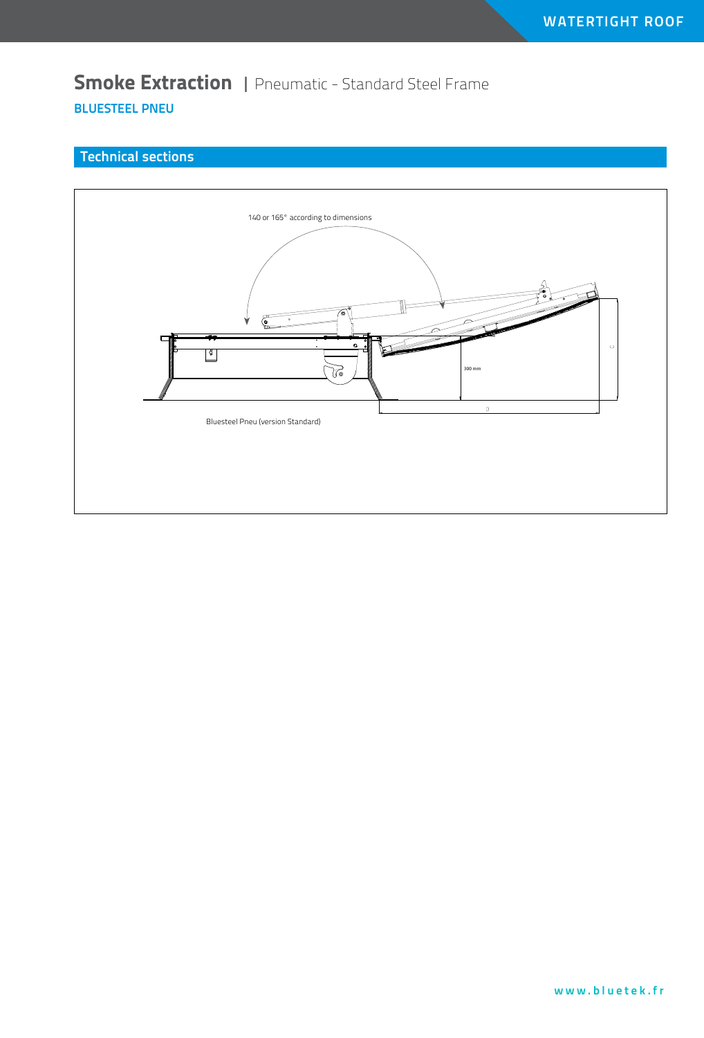**Smoke Extraction** | Pneumatic - Standard Steel Frame **BluesteEL PNEU**

#### **Technical sections**